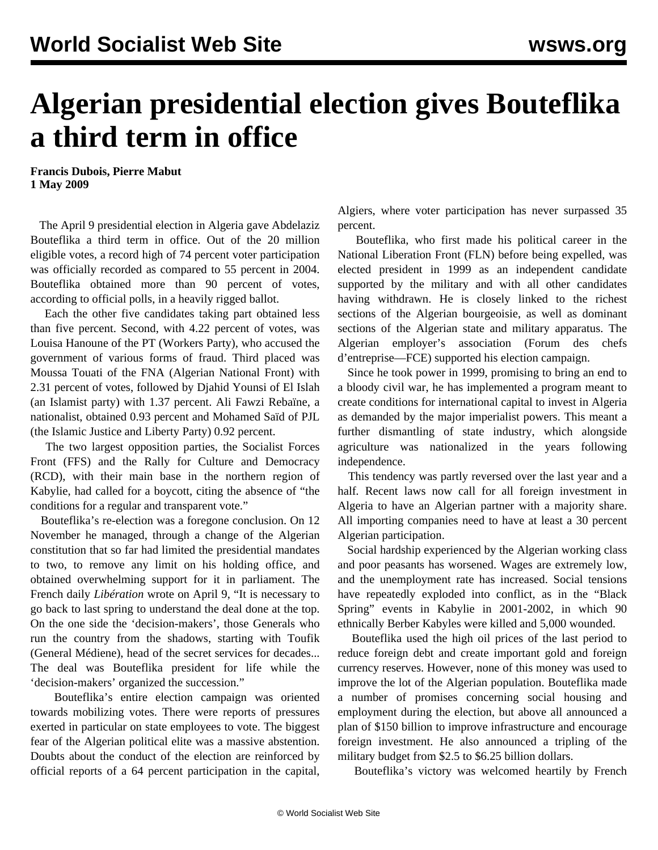## **Algerian presidential election gives Bouteflika a third term in office**

**Francis Dubois, Pierre Mabut 1 May 2009**

 The April 9 presidential election in Algeria gave Abdelaziz Bouteflika a third term in office. Out of the 20 million eligible votes, a record high of 74 percent voter participation was officially recorded as compared to 55 percent in 2004. Bouteflika obtained more than 90 percent of votes, according to official polls, in a heavily rigged ballot.

 Each the other five candidates taking part obtained less than five percent. Second, with 4.22 percent of votes, was Louisa Hanoune of the PT (Workers Party), who accused the government of various forms of fraud. Third placed was Moussa Touati of the FNA (Algerian National Front) with 2.31 percent of votes, followed by Djahid Younsi of El Islah (an Islamist party) with 1.37 percent. Ali Fawzi Rebaïne, a nationalist, obtained 0.93 percent and Mohamed Saïd of PJL (the Islamic Justice and Liberty Party) 0.92 percent.

 The two largest opposition parties, the Socialist Forces Front (FFS) and the Rally for Culture and Democracy (RCD), with their main base in the northern region of Kabylie, had called for a boycott, citing the absence of "the conditions for a regular and transparent vote."

 Bouteflika's re-election was a foregone conclusion. On 12 November he managed, through a change of the Algerian constitution that so far had limited the presidential mandates to two, to remove any limit on his holding office, and obtained overwhelming support for it in parliament. The French daily *Libération* wrote on April 9, "It is necessary to go back to last spring to understand the deal done at the top. On the one side the 'decision-makers', those Generals who run the country from the shadows, starting with Toufik (General Médiene), head of the secret services for decades... The deal was Bouteflika president for life while the 'decision-makers' organized the succession."

 Bouteflika's entire election campaign was oriented towards mobilizing votes. There were reports of pressures exerted in particular on state employees to vote. The biggest fear of the Algerian political elite was a massive abstention. Doubts about the conduct of the election are reinforced by official reports of a 64 percent participation in the capital, Algiers, where voter participation has never surpassed 35 percent.

 Bouteflika, who first made his political career in the National Liberation Front (FLN) before being expelled, was elected president in 1999 as an independent candidate supported by the military and with all other candidates having withdrawn. He is closely linked to the richest sections of the Algerian bourgeoisie, as well as dominant sections of the Algerian state and military apparatus. The Algerian employer's association (Forum des chefs d'entreprise—FCE) supported his election campaign.

 Since he took power in 1999, promising to bring an end to a bloody civil war, he has implemented a program meant to create conditions for international capital to invest in Algeria as demanded by the major imperialist powers. This meant a further dismantling of state industry, which alongside agriculture was nationalized in the years following independence.

 This tendency was partly reversed over the last year and a half*.* Recent laws now call for all foreign investment in Algeria to have an Algerian partner with a majority share. All importing companies need to have at least a 30 percent Algerian participation.

 Social hardship experienced by the Algerian working class and poor peasants has worsened. Wages are extremely low, and the unemployment rate has increased. Social tensions have repeatedly exploded into conflict, as in the "Black Spring" events in Kabylie in 2001-2002, in which 90 ethnically Berber Kabyles were killed and 5,000 wounded.

 Bouteflika used the high oil prices of the last period to reduce foreign debt and create important gold and foreign currency reserves. However, none of this money was used to improve the lot of the Algerian population. Bouteflika made a number of promises concerning social housing and employment during the election, but above all announced a plan of \$150 billion to improve infrastructure and encourage foreign investment. He also announced a tripling of the military budget from \$2.5 to \$6.25 billion dollars.

Bouteflika's victory was welcomed heartily by French